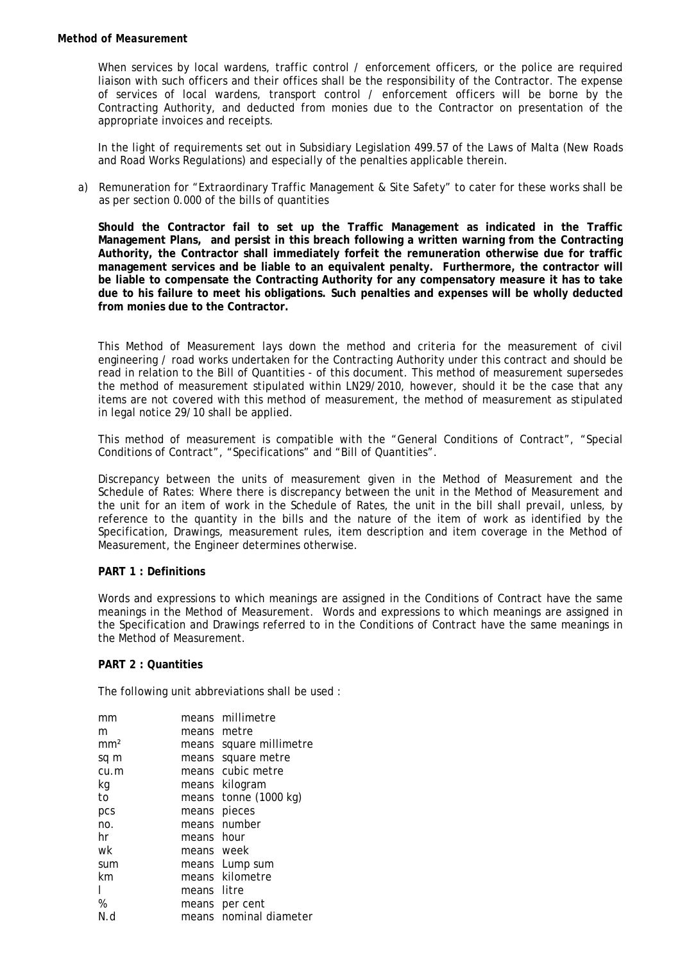When services by local wardens, traffic control / enforcement officers, or the police are required liaison with such officers and their offices shall be the responsibility of the Contractor. The expense of services of local wardens, transport control / enforcement officers will be borne by the Contracting Authority, and deducted from monies due to the Contractor on presentation of the appropriate invoices and receipts.

In the light of requirements set out in Subsidiary Legislation 499.57 of the Laws of Malta (New Roads and Road Works Regulations) and especially of the penalties applicable therein.

a) Remuneration for "Extraordinary Traffic Management & Site Safety" to cater for these works shall be as per section 0.000 of the bills of quantities

**Should the Contractor fail to set up the Traffic Management as indicated in the Traffic Management Plans, and persist in this breach following a written warning from the Contracting Authority, the Contractor shall immediately forfeit the remuneration otherwise due for traffic management services and be liable to an equivalent penalty. Furthermore, the contractor will be liable to compensate the Contracting Authority for any compensatory measure it has to take due to his failure to meet his obligations. Such penalties and expenses will be wholly deducted from monies due to the Contractor.** 

This Method of Measurement lays down the method and criteria for the measurement of civil engineering / road works undertaken for the Contracting Authority under this contract and should be read in relation to the Bill of Quantities - of this document. This method of measurement supersedes the method of measurement stipulated within LN29/2010, however, should it be the case that any items are not covered with this method of measurement, the method of measurement as stipulated in legal notice 29/10 shall be applied.

This method of measurement is compatible with the "General Conditions of Contract", "Special Conditions of Contract", "Specifications" and "Bill of Quantities".

Discrepancy between the units of measurement given in the Method of Measurement and the Schedule of Rates: Where there is discrepancy between the unit in the Method of Measurement and the unit for an item of work in the Schedule of Rates, the unit in the bill shall prevail, unless, by reference to the quantity in the bills and the nature of the item of work as identified by the Specification, Drawings, measurement rules, item description and item coverage in the Method of Measurement, the Engineer determines otherwise.

#### **PART 1 : Definitions**

Words and expressions to which meanings are assigned in the Conditions of Contract have the same meanings in the Method of Measurement. Words and expressions to which meanings are assigned in the Specification and Drawings referred to in the Conditions of Contract have the same meanings in the Method of Measurement.

#### **PART 2 : Quantities**

The following unit abbreviations shall be used :

| mm              |             | means millimetre  |
|-----------------|-------------|-------------------|
| m               | means       | metre             |
| mm <sup>2</sup> | means       | square millimetre |
| sq m            | means       | square metre      |
| cu.m            | means       | cubic metre       |
| kg              |             | means kilogram    |
| to              | means       | tonne (1000 kg)   |
| pcs             | means       | pieces            |
| no.             | means       | number            |
| hr              | means hour  |                   |
| wk              | means week  |                   |
| sum             | means       | Lump sum          |
| km              |             | means kilometre   |
|                 | means litre |                   |
| %               | means       | per cent          |
| N.d             | means       | nominal diameter  |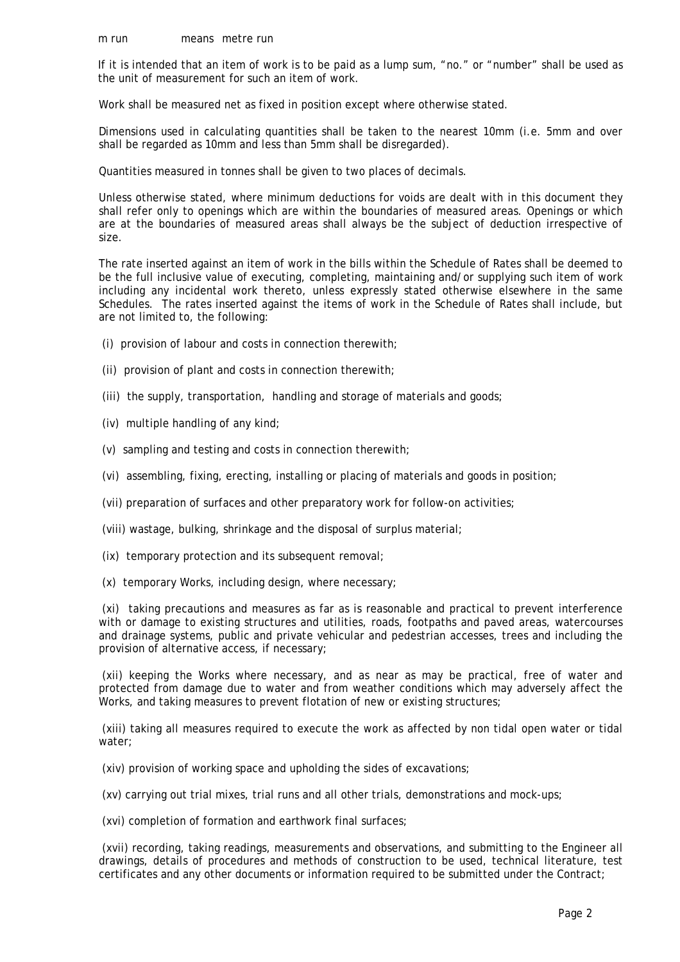If it is intended that an item of work is to be paid as a lump sum, "no." or "number" shall be used as the unit of measurement for such an item of work.

Work shall be measured net as fixed in position except where otherwise stated.

Dimensions used in calculating quantities shall be taken to the nearest 10mm (i.e. 5mm and over shall be regarded as 10mm and less than 5mm shall be disregarded).

Quantities measured in tonnes shall be given to two places of decimals.

Unless otherwise stated, where minimum deductions for voids are dealt with in this document they shall refer only to openings which are within the boundaries of measured areas. Openings or which are at the boundaries of measured areas shall always be the subject of deduction irrespective of size.

The rate inserted against an item of work in the bills within the Schedule of Rates shall be deemed to be the full inclusive value of executing, completing, maintaining and/or supplying such item of work including any incidental work thereto, unless expressly stated otherwise elsewhere in the same Schedules. The rates inserted against the items of work in the Schedule of Rates shall include, but are not limited to, the following:

- (i) provision of labour and costs in connection therewith;
- (ii) provision of plant and costs in connection therewith;
- (iii) the supply, transportation, handling and storage of materials and goods;
- (iv) multiple handling of any kind;
- (v) sampling and testing and costs in connection therewith;
- (vi) assembling, fixing, erecting, installing or placing of materials and goods in position;
- (vii) preparation of surfaces and other preparatory work for follow-on activities;
- (viii) wastage, bulking, shrinkage and the disposal of surplus material;
- (ix) temporary protection and its subsequent removal;
- (x) temporary Works, including design, where necessary;

 (xi) taking precautions and measures as far as is reasonable and practical to prevent interference with or damage to existing structures and utilities, roads, footpaths and paved areas, watercourses and drainage systems, public and private vehicular and pedestrian accesses, trees and including the provision of alternative access, if necessary;

 (xii) keeping the Works where necessary, and as near as may be practical, free of water and protected from damage due to water and from weather conditions which may adversely affect the Works, and taking measures to prevent flotation of new or existing structures;

 (xiii) taking all measures required to execute the work as affected by non tidal open water or tidal water;

(xiv) provision of working space and upholding the sides of excavations;

(xv) carrying out trial mixes, trial runs and all other trials, demonstrations and mock-ups;

(xvi) completion of formation and earthwork final surfaces;

 (xvii) recording, taking readings, measurements and observations, and submitting to the Engineer all drawings, details of procedures and methods of construction to be used, technical literature, test certificates and any other documents or information required to be submitted under the Contract;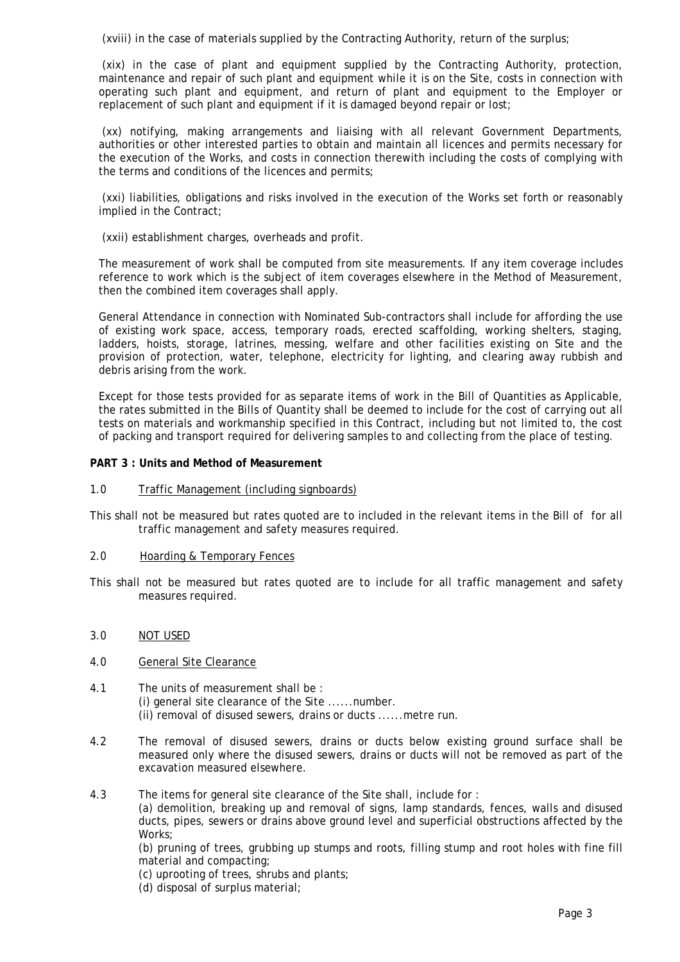(xviii) in the case of materials supplied by the Contracting Authority, return of the surplus;

 (xix) in the case of plant and equipment supplied by the Contracting Authority, protection, maintenance and repair of such plant and equipment while it is on the Site, costs in connection with operating such plant and equipment, and return of plant and equipment to the Employer or replacement of such plant and equipment if it is damaged beyond repair or lost;

 (xx) notifying, making arrangements and liaising with all relevant Government Departments, authorities or other interested parties to obtain and maintain all licences and permits necessary for the execution of the Works, and costs in connection therewith including the costs of complying with the terms and conditions of the licences and permits;

 (xxi) liabilities, obligations and risks involved in the execution of the Works set forth or reasonably implied in the Contract;

(xxii) establishment charges, overheads and profit.

The measurement of work shall be computed from site measurements. If any item coverage includes reference to work which is the subject of item coverages elsewhere in the Method of Measurement, then the combined item coverages shall apply.

General Attendance in connection with Nominated Sub-contractors shall include for affording the use of existing work space, access, temporary roads, erected scaffolding, working shelters, staging, ladders, hoists, storage, latrines, messing, welfare and other facilities existing on Site and the provision of protection, water, telephone, electricity for lighting, and clearing away rubbish and debris arising from the work.

Except for those tests provided for as separate items of work in the Bill of Quantities as Applicable, the rates submitted in the Bills of Quantity shall be deemed to include for the cost of carrying out all tests on materials and workmanship specified in this Contract, including but not limited to, the cost of packing and transport required for delivering samples to and collecting from the place of testing.

## **PART 3 : Units and Method of Measurement**

1.0 Traffic Management (including signboards)

This shall not be measured but rates quoted are to included in the relevant items in the Bill of for all traffic management and safety measures required.

## 2.0 Hoarding & Temporary Fences

This shall not be measured but rates quoted are to include for all traffic management and safety measures required.

#### 3.0 NOT USED

- 4.0 General Site Clearance
- 4.1 The units of measurement shall be : (i) general site clearance of the Site ......number. (ii) removal of disused sewers, drains or ducts ......metre run.
- 4.2 The removal of disused sewers, drains or ducts below existing ground surface shall be measured only where the disused sewers, drains or ducts will not be removed as part of the excavation measured elsewhere.
- 4.3 The items for general site clearance of the Site shall, include for :

 (a) demolition, breaking up and removal of signs, lamp standards, fences, walls and disused ducts, pipes, sewers or drains above ground level and superficial obstructions affected by the Works;

 (b) pruning of trees, grubbing up stumps and roots, filling stump and root holes with fine fill material and compacting;

(c) uprooting of trees, shrubs and plants;

(d) disposal of surplus material;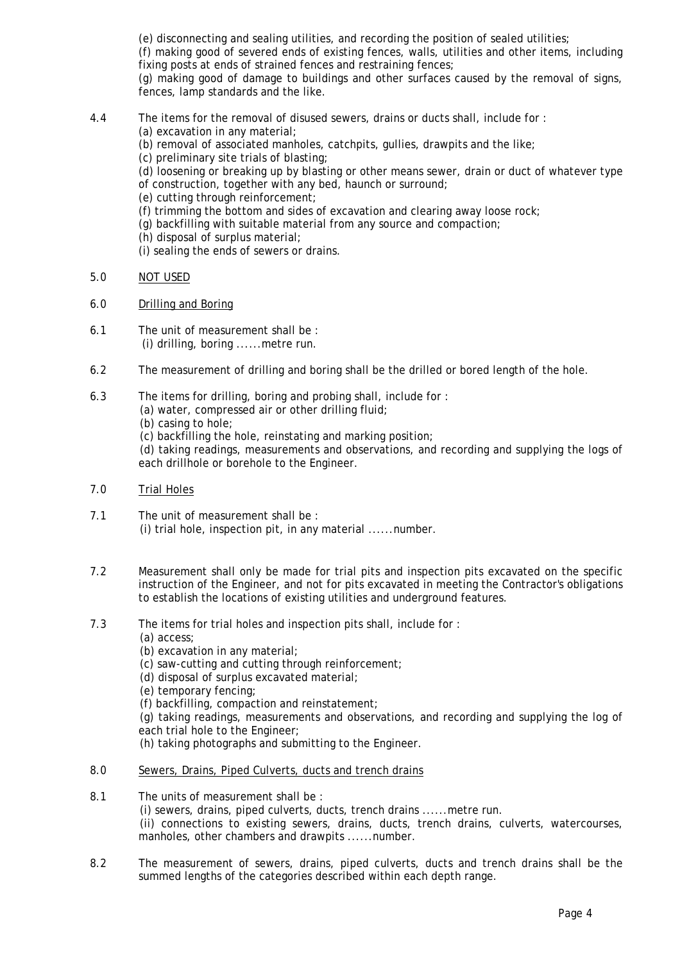(e) disconnecting and sealing utilities, and recording the position of sealed utilities;

 (f) making good of severed ends of existing fences, walls, utilities and other items, including fixing posts at ends of strained fences and restraining fences;

 (g) making good of damage to buildings and other surfaces caused by the removal of signs, fences, lamp standards and the like.

- 4.4 The items for the removal of disused sewers, drains or ducts shall, include for :
	- (a) excavation in any material;
	- (b) removal of associated manholes, catchpits, gullies, drawpits and the like;
	- (c) preliminary site trials of blasting;

 (d) loosening or breaking up by blasting or other means sewer, drain or duct of whatever type of construction, together with any bed, haunch or surround;

- (e) cutting through reinforcement;
- (f) trimming the bottom and sides of excavation and clearing away loose rock;
- (g) backfilling with suitable material from any source and compaction;
- (h) disposal of surplus material;
- (i) sealing the ends of sewers or drains.
- 5.0 NOT USED
- 6.0 Drilling and Boring
- 6.1 The unit of measurement shall be : (i) drilling, boring ......metre run.
- 6.2 The measurement of drilling and boring shall be the drilled or bored length of the hole.
- 6.3 The items for drilling, boring and probing shall, include for :
	- (a) water, compressed air or other drilling fluid;
		- (b) casing to hole;

(c) backfilling the hole, reinstating and marking position;

 (d) taking readings, measurements and observations, and recording and supplying the logs of each drillhole or borehole to the Engineer.

- 7.0 Trial Holes
- 7.1 The unit of measurement shall be : (i) trial hole, inspection pit, in any material ......number.
- 7.2 Measurement shall only be made for trial pits and inspection pits excavated on the specific instruction of the Engineer, and not for pits excavated in meeting the Contractor's obligations to establish the locations of existing utilities and underground features.
- 7.3 The items for trial holes and inspection pits shall, include for :
	- (a) access;
	- (b) excavation in any material;
	- (c) saw-cutting and cutting through reinforcement;
	- (d) disposal of surplus excavated material;
	- (e) temporary fencing;
	- (f) backfilling, compaction and reinstatement;

 (g) taking readings, measurements and observations, and recording and supplying the log of each trial hole to the Engineer;

- (h) taking photographs and submitting to the Engineer.
- 8.0 Sewers, Drains, Piped Culverts, ducts and trench drains
- 8.1 The units of measurement shall be : (i) sewers, drains, piped culverts, ducts, trench drains ......metre run. (ii) connections to existing sewers, drains, ducts, trench drains, culverts, watercourses, manholes, other chambers and drawpits ......number.
- 8.2 The measurement of sewers, drains, piped culverts, ducts and trench drains shall be the summed lengths of the categories described within each depth range.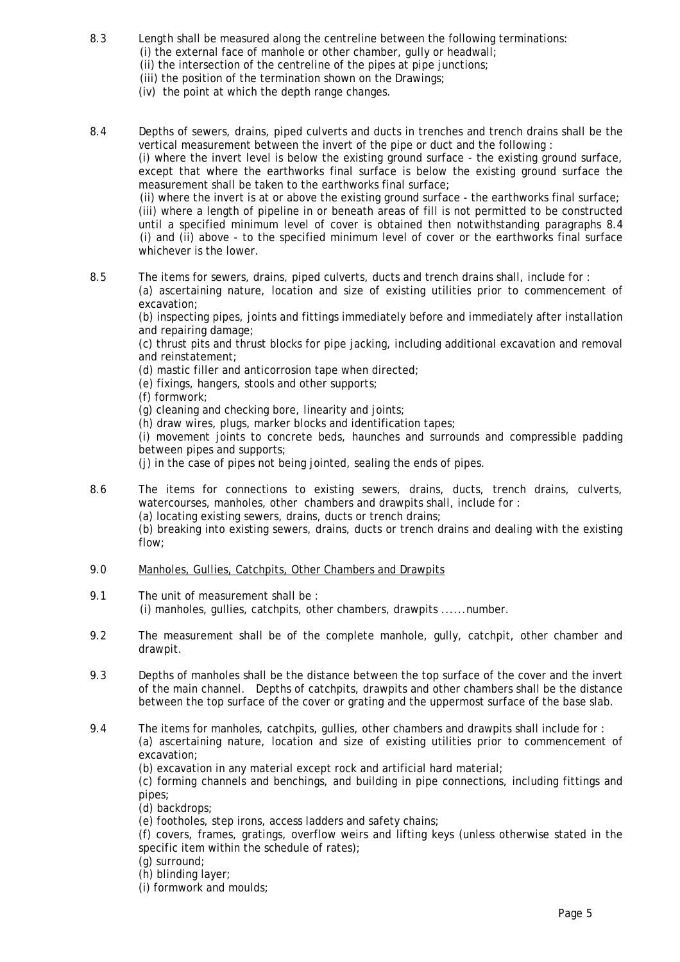- 8.3 Length shall be measured along the centreline between the following terminations: (i) the external face of manhole or other chamber, gully or headwall; (ii) the intersection of the centreline of the pipes at pipe junctions; (iii) the position of the termination shown on the Drawings;
	- (iv) the point at which the depth range changes.

8.4 Depths of sewers, drains, piped culverts and ducts in trenches and trench drains shall be the vertical measurement between the invert of the pipe or duct and the following :

 (i) where the invert level is below the existing ground surface - the existing ground surface, except that where the earthworks final surface is below the existing ground surface the measurement shall be taken to the earthworks final surface;

 (ii) where the invert is at or above the existing ground surface - the earthworks final surface; (iii) where a length of pipeline in or beneath areas of fill is not permitted to be constructed until a specified minimum level of cover is obtained then notwithstanding paragraphs 8.4 (i) and (ii) above - to the specified minimum level of cover or the earthworks final surface whichever is the lower.

8.5 The items for sewers, drains, piped culverts, ducts and trench drains shall, include for : (a) ascertaining nature, location and size of existing utilities prior to commencement of excavation;

 (b) inspecting pipes, joints and fittings immediately before and immediately after installation and repairing damage;

 (c) thrust pits and thrust blocks for pipe jacking, including additional excavation and removal and reinstatement;

(d) mastic filler and anticorrosion tape when directed;

(e) fixings, hangers, stools and other supports;

(f) formwork;

(g) cleaning and checking bore, linearity and joints;

(h) draw wires, plugs, marker blocks and identification tapes;

 (i) movement joints to concrete beds, haunches and surrounds and compressible padding between pipes and supports;

(j) in the case of pipes not being jointed, sealing the ends of pipes.

8.6 The items for connections to existing sewers, drains, ducts, trench drains, culverts, watercourses, manholes, other chambers and drawpits shall, include for : (a) locating existing sewers, drains, ducts or trench drains;

(b) breaking into existing sewers, drains, ducts or trench drains and dealing with the existing

flow;

- 9.0 Manholes, Gullies, Catchpits, Other Chambers and Drawpits
- 9.1 The unit of measurement shall be : (i) manholes, gullies, catchpits, other chambers, drawpits ......number.
- 9.2 The measurement shall be of the complete manhole, gully, catchpit, other chamber and drawpit.
- 9.3 Depths of manholes shall be the distance between the top surface of the cover and the invert of the main channel. Depths of catchpits, drawpits and other chambers shall be the distance between the top surface of the cover or grating and the uppermost surface of the base slab.
- 9.4 The items for manholes, catchpits, gullies, other chambers and drawpits shall include for : (a) ascertaining nature, location and size of existing utilities prior to commencement of excavation;

(b) excavation in any material except rock and artificial hard material;

 (c) forming channels and benchings, and building in pipe connections, including fittings and pipes;

(d) backdrops;

(e) footholes, step irons, access ladders and safety chains;

 (f) covers, frames, gratings, overflow weirs and lifting keys (unless otherwise stated in the specific item within the schedule of rates);

(g) surround;

(h) blinding layer;

(i) formwork and moulds;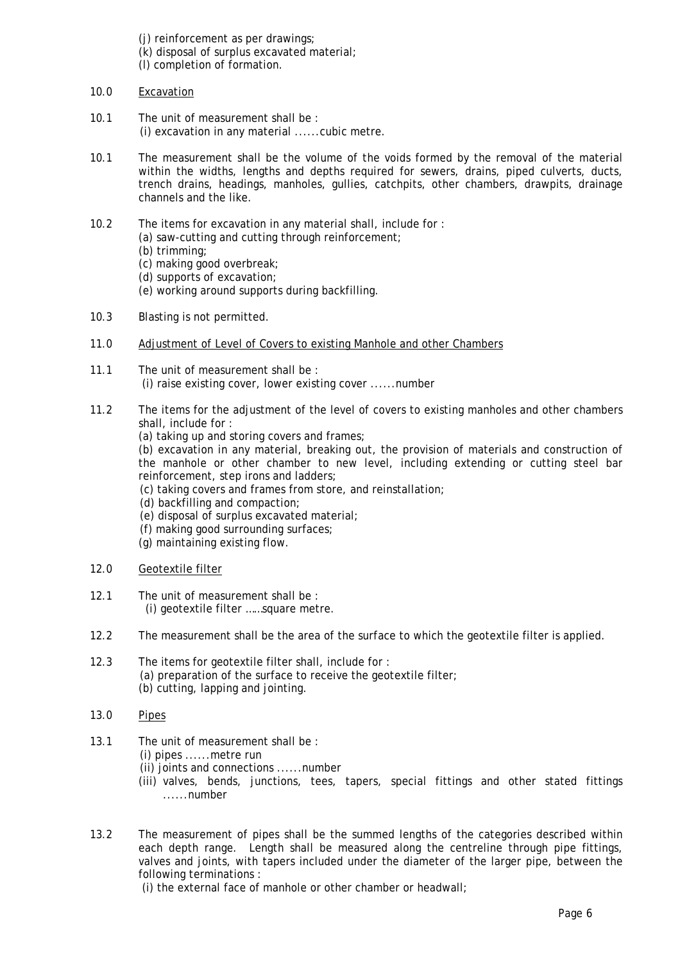- (j) reinforcement as per drawings;
- (k) disposal of surplus excavated material;
- (l) completion of formation.
- 10.0 Excavation
- 10.1 The unit of measurement shall be : (i) excavation in any material ......cubic metre.
- 10.1 The measurement shall be the volume of the voids formed by the removal of the material within the widths, lengths and depths required for sewers, drains, piped culverts, ducts, trench drains, headings, manholes, gullies, catchpits, other chambers, drawpits, drainage channels and the like.
- 10.2 The items for excavation in any material shall, include for :
	- (a) saw-cutting and cutting through reinforcement;
	- (b) trimming;
	- (c) making good overbreak;
	- (d) supports of excavation;
	- (e) working around supports during backfilling.
- 10.3 Blasting is not permitted.
- 11.0 Adjustment of Level of Covers to existing Manhole and other Chambers
- 11.1 The unit of measurement shall be : (i) raise existing cover, lower existing cover ......number
- 11.2 The items for the adjustment of the level of covers to existing manholes and other chambers shall, include for :
	- (a) taking up and storing covers and frames;
	- (b) excavation in any material, breaking out, the provision of materials and construction of the manhole or other chamber to new level, including extending or cutting steel bar reinforcement, step irons and ladders;
	- (c) taking covers and frames from store, and reinstallation;
	- (d) backfilling and compaction;
	- (e) disposal of surplus excavated material;
	- (f) making good surrounding surfaces;
	- (g) maintaining existing flow.
- 12.0 Geotextile filter
- 12.1 The unit of measurement shall be : (i) geotextile filter ……square metre.
- 12.2 The measurement shall be the area of the surface to which the geotextile filter is applied.
- 12.3 The items for geotextile filter shall, include for : (a) preparation of the surface to receive the geotextile filter; (b) cutting, lapping and jointing.
- 13.0 Pipes
- 13.1 The unit of measurement shall be :
	- (i) pipes ......metre run
	- (ii) joints and connections ......number
	- (iii) valves, bends, junctions, tees, tapers, special fittings and other stated fittings ......number
- 13.2 The measurement of pipes shall be the summed lengths of the categories described within each depth range. Length shall be measured along the centreline through pipe fittings, valves and joints, with tapers included under the diameter of the larger pipe, between the following terminations :

(i) the external face of manhole or other chamber or headwall;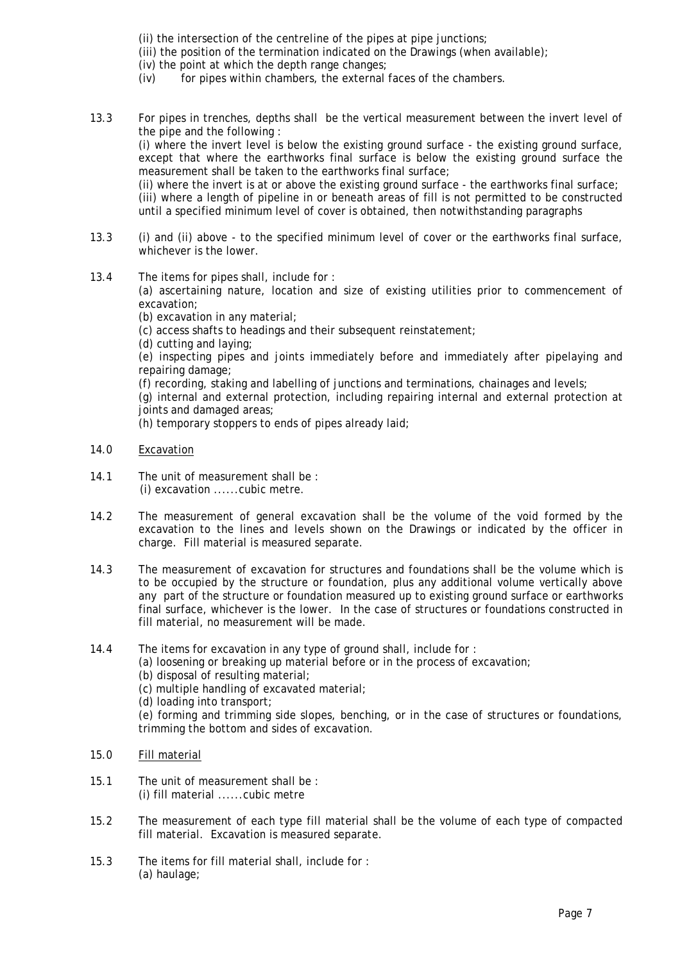- (ii) the intersection of the centreline of the pipes at pipe junctions;
- (iii) the position of the termination indicated on the Drawings (when available);
	- (iv) the point at which the depth range changes;
	- (iv) for pipes within chambers, the external faces of the chambers.
- 13.3 For pipes in trenches, depths shall be the vertical measurement between the invert level of the pipe and the following : (i) where the invert level is below the existing ground surface - the existing ground surface, except that where the earthworks final surface is below the existing ground surface the measurement shall be taken to the earthworks final surface; (ii) where the invert is at or above the existing ground surface - the earthworks final surface; (iii) where a length of pipeline in or beneath areas of fill is not permitted to be constructed

until a specified minimum level of cover is obtained, then notwithstanding paragraphs

- 13.3 (i) and (ii) above to the specified minimum level of cover or the earthworks final surface, whichever is the lower.
- 13.4 The items for pipes shall, include for :

 (a) ascertaining nature, location and size of existing utilities prior to commencement of excavation;

(b) excavation in any material;

(c) access shafts to headings and their subsequent reinstatement;

(d) cutting and laying;

 (e) inspecting pipes and joints immediately before and immediately after pipelaying and repairing damage;

(f) recording, staking and labelling of junctions and terminations, chainages and levels;

 (g) internal and external protection, including repairing internal and external protection at joints and damaged areas;

(h) temporary stoppers to ends of pipes already laid;

- 14.0 Excavation
- 14.1 The unit of measurement shall be : (i) excavation ......cubic metre.
- 14.2 The measurement of general excavation shall be the volume of the void formed by the excavation to the lines and levels shown on the Drawings or indicated by the officer in charge. Fill material is measured separate.
- 14.3 The measurement of excavation for structures and foundations shall be the volume which is to be occupied by the structure or foundation, plus any additional volume vertically above any part of the structure or foundation measured up to existing ground surface or earthworks final surface, whichever is the lower. In the case of structures or foundations constructed in fill material, no measurement will be made.
- 14.4 The items for excavation in any type of ground shall, include for :
	- (a) loosening or breaking up material before or in the process of excavation;
	- (b) disposal of resulting material;
	- (c) multiple handling of excavated material;
	- (d) loading into transport;

 (e) forming and trimming side slopes, benching, or in the case of structures or foundations, trimming the bottom and sides of excavation.

- 15.0 Fill material
- 15.1 The unit of measurement shall be : (i) fill material ......cubic metre
- 15.2 The measurement of each type fill material shall be the volume of each type of compacted fill material. Excavation is measured separate.
- 15.3 The items for fill material shall, include for : (a) haulage;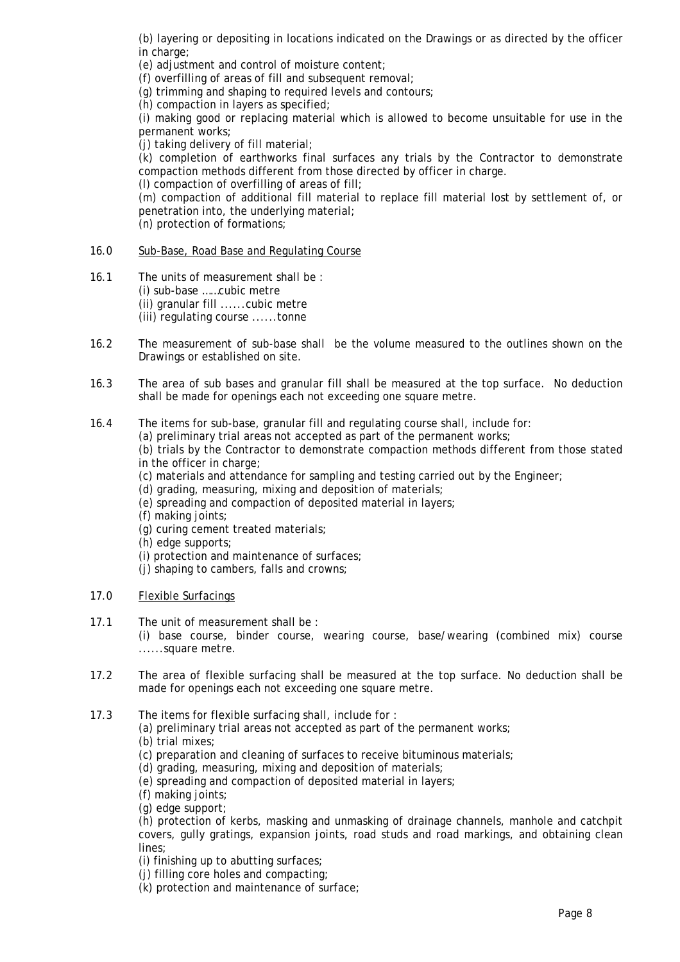(b) layering or depositing in locations indicated on the Drawings or as directed by the officer in charge;

(e) adjustment and control of moisture content;

(f) overfilling of areas of fill and subsequent removal;

(g) trimming and shaping to required levels and contours;

(h) compaction in layers as specified;

 (i) making good or replacing material which is allowed to become unsuitable for use in the permanent works;

(j) taking delivery of fill material;

 (k) completion of earthworks final surfaces any trials by the Contractor to demonstrate compaction methods different from those directed by officer in charge.

(l) compaction of overfilling of areas of fill;

 (m) compaction of additional fill material to replace fill material lost by settlement of, or penetration into, the underlying material;

(n) protection of formations;

# 16.0 Sub-Base, Road Base and Regulating Course

- 16.1 The units of measurement shall be : (i) sub-base ……cubic metre (ii) granular fill ......cubic metre (iii) regulating course ......tonne
- 16.2 The measurement of sub-base shall be the volume measured to the outlines shown on the Drawings or established on site.
- 16.3 The area of sub bases and granular fill shall be measured at the top surface. No deduction shall be made for openings each not exceeding one square metre.
- 16.4 The items for sub-base, granular fill and regulating course shall, include for:
	- (a) preliminary trial areas not accepted as part of the permanent works;

 (b) trials by the Contractor to demonstrate compaction methods different from those stated in the officer in charge;

(c) materials and attendance for sampling and testing carried out by the Engineer;

- (d) grading, measuring, mixing and deposition of materials;
- (e) spreading and compaction of deposited material in layers;
- (f) making joints;
- (g) curing cement treated materials;
- (h) edge supports;
- (i) protection and maintenance of surfaces;
- (j) shaping to cambers, falls and crowns;

# 17.0 Flexible Surfacings

17.1 The unit of measurement shall be :

 (i) base course, binder course, wearing course, base/wearing (combined mix) course ......square metre.

- 17.2 The area of flexible surfacing shall be measured at the top surface. No deduction shall be made for openings each not exceeding one square metre.
- 17.3 The items for flexible surfacing shall, include for :
	- (a) preliminary trial areas not accepted as part of the permanent works;
	- (b) trial mixes;
	- (c) preparation and cleaning of surfaces to receive bituminous materials;
	- (d) grading, measuring, mixing and deposition of materials;
	- (e) spreading and compaction of deposited material in layers;
	- (f) making joints;
	- (g) edge support;

 (h) protection of kerbs, masking and unmasking of drainage channels, manhole and catchpit covers, gully gratings, expansion joints, road studs and road markings, and obtaining clean lines;

(i) finishing up to abutting surfaces;

(j) filling core holes and compacting;

(k) protection and maintenance of surface;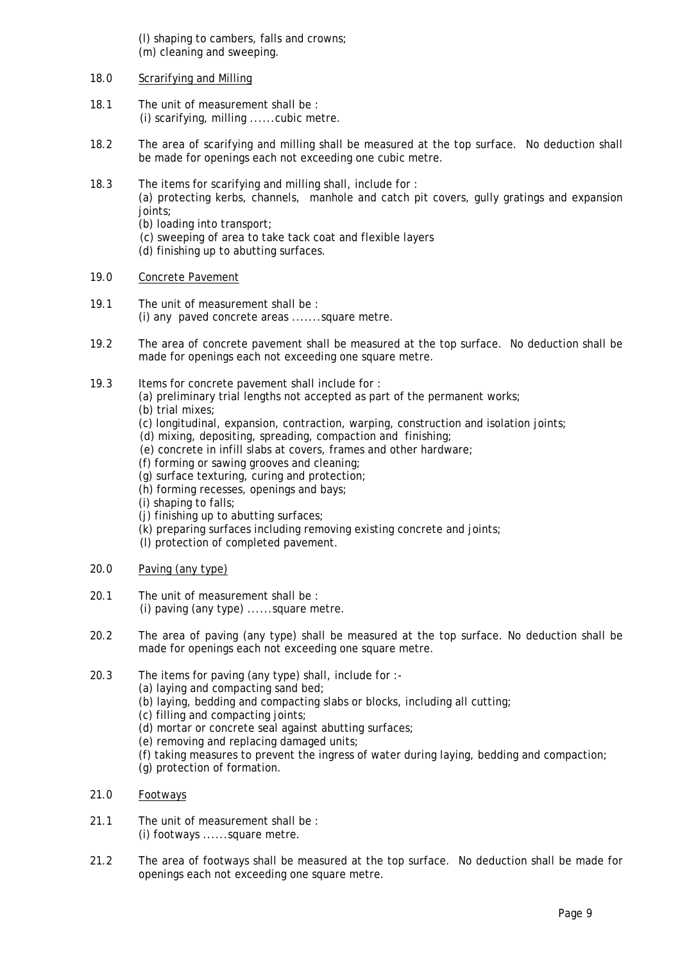(l) shaping to cambers, falls and crowns; (m) cleaning and sweeping.

## 18.0 Scrarifying and Milling

- 18.1 The unit of measurement shall be : (i) scarifying, milling ......cubic metre.
- 18.2 The area of scarifying and milling shall be measured at the top surface. No deduction shall be made for openings each not exceeding one cubic metre.
- 18.3 The items for scarifying and milling shall, include for : (a) protecting kerbs, channels, manhole and catch pit covers, gully gratings and expansion joints; (b) loading into transport;
	- (c) sweeping of area to take tack coat and flexible layers
	- (d) finishing up to abutting surfaces.
- 19.0 Concrete Pavement
- 19.1 The unit of measurement shall be : (i) any paved concrete areas .......square metre.
- 19.2 The area of concrete pavement shall be measured at the top surface. No deduction shall be made for openings each not exceeding one square metre.
- 19.3 Items for concrete pavement shall include for :
	- (a) preliminary trial lengths not accepted as part of the permanent works;
	- (b) trial mixes;
	- (c) longitudinal, expansion, contraction, warping, construction and isolation joints;
	- (d) mixing, depositing, spreading, compaction and finishing;
	- (e) concrete in infill slabs at covers, frames and other hardware;
	- (f) forming or sawing grooves and cleaning;
	- (g) surface texturing, curing and protection;
	- (h) forming recesses, openings and bays;
	- (i) shaping to falls;
	- (j) finishing up to abutting surfaces;
	- (k) preparing surfaces including removing existing concrete and joints;
	- (l) protection of completed pavement.
- 20.0 Paving (any type)
- 20.1 The unit of measurement shall be : (i) paving (any type) ......square metre.
- 20.2 The area of paving (any type) shall be measured at the top surface. No deduction shall be made for openings each not exceeding one square metre.
- 20.3 The items for paving (any type) shall, include for :-
	- (a) laying and compacting sand bed;
	- (b) laying, bedding and compacting slabs or blocks, including all cutting;
	- (c) filling and compacting joints;
	- (d) mortar or concrete seal against abutting surfaces;
	- (e) removing and replacing damaged units;
	- (f) taking measures to prevent the ingress of water during laying, bedding and compaction;
	- (g) protection of formation.
- 21.0 Footways
- 21.1 The unit of measurement shall be : (i) footways ......square metre.
- 21.2 The area of footways shall be measured at the top surface. No deduction shall be made for openings each not exceeding one square metre.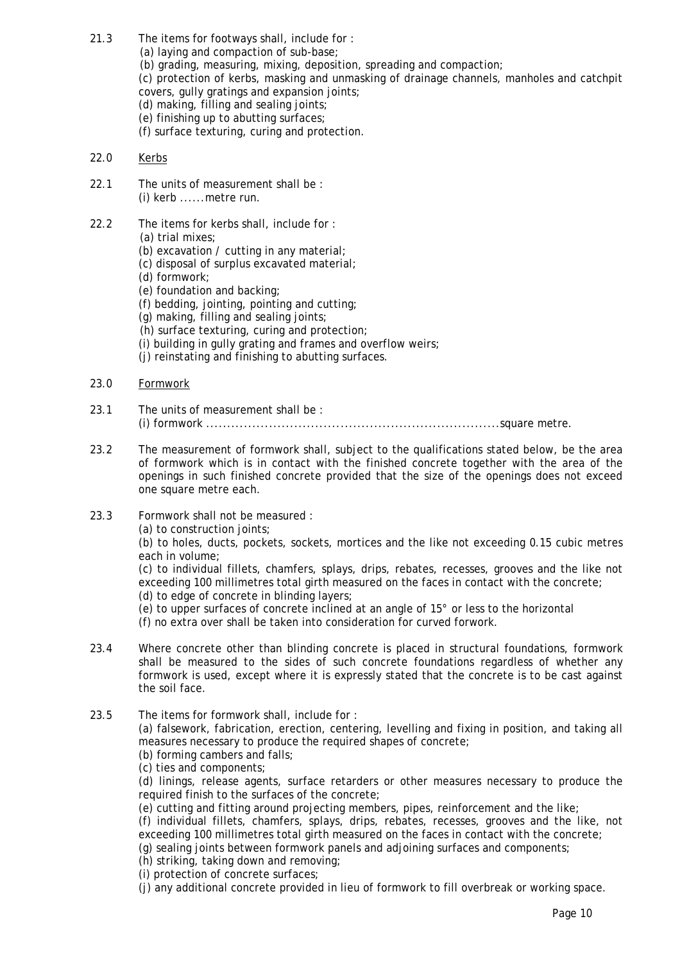- 21.3 The items for footways shall, include for : (a) laying and compaction of sub-base; (b) grading, measuring, mixing, deposition, spreading and compaction; (c) protection of kerbs, masking and unmasking of drainage channels, manholes and catchpit covers, gully gratings and expansion joints; (d) making, filling and sealing joints; (e) finishing up to abutting surfaces; (f) surface texturing, curing and protection.
- 22.0 Kerbs
- 22.1 The units of measurement shall be : (i) kerb ......metre run.
- 22.2 The items for kerbs shall, include for :
	- (a) trial mixes;
	- (b) excavation / cutting in any material;
	- (c) disposal of surplus excavated material;
	- (d) formwork;
	- (e) foundation and backing;
	- (f) bedding, jointing, pointing and cutting;
	- (g) making, filling and sealing joints;
	- (h) surface texturing, curing and protection;
	- (i) building in gully grating and frames and overflow weirs;
	- (j) reinstating and finishing to abutting surfaces.
- 23.0 Formwork
- 23.1 The units of measurement shall be : (i) formwork ......................................................................square metre.
- 23.2 The measurement of formwork shall, subject to the qualifications stated below, be the area of formwork which is in contact with the finished concrete together with the area of the openings in such finished concrete provided that the size of the openings does not exceed one square metre each.
- 23.3 Formwork shall not be measured :

(a) to construction joints;

 (b) to holes, ducts, pockets, sockets, mortices and the like not exceeding 0.15 cubic metres each in volume;

 (c) to individual fillets, chamfers, splays, drips, rebates, recesses, grooves and the like not exceeding 100 millimetres total girth measured on the faces in contact with the concrete; (d) to edge of concrete in blinding layers;

(e) to upper surfaces of concrete inclined at an angle of 15° or less to the horizontal

(f) no extra over shall be taken into consideration for curved forwork.

- 23.4 Where concrete other than blinding concrete is placed in structural foundations, formwork shall be measured to the sides of such concrete foundations regardless of whether any formwork is used, except where it is expressly stated that the concrete is to be cast against the soil face.
- 23.5 The items for formwork shall, include for :

 (a) falsework, fabrication, erection, centering, levelling and fixing in position, and taking all measures necessary to produce the required shapes of concrete;

- (b) forming cambers and falls;
- (c) ties and components;

 (d) linings, release agents, surface retarders or other measures necessary to produce the required finish to the surfaces of the concrete;

(e) cutting and fitting around projecting members, pipes, reinforcement and the like;

 (f) individual fillets, chamfers, splays, drips, rebates, recesses, grooves and the like, not exceeding 100 millimetres total girth measured on the faces in contact with the concrete;

(g) sealing joints between formwork panels and adjoining surfaces and components;

(h) striking, taking down and removing;

(i) protection of concrete surfaces;

(j) any additional concrete provided in lieu of formwork to fill overbreak or working space.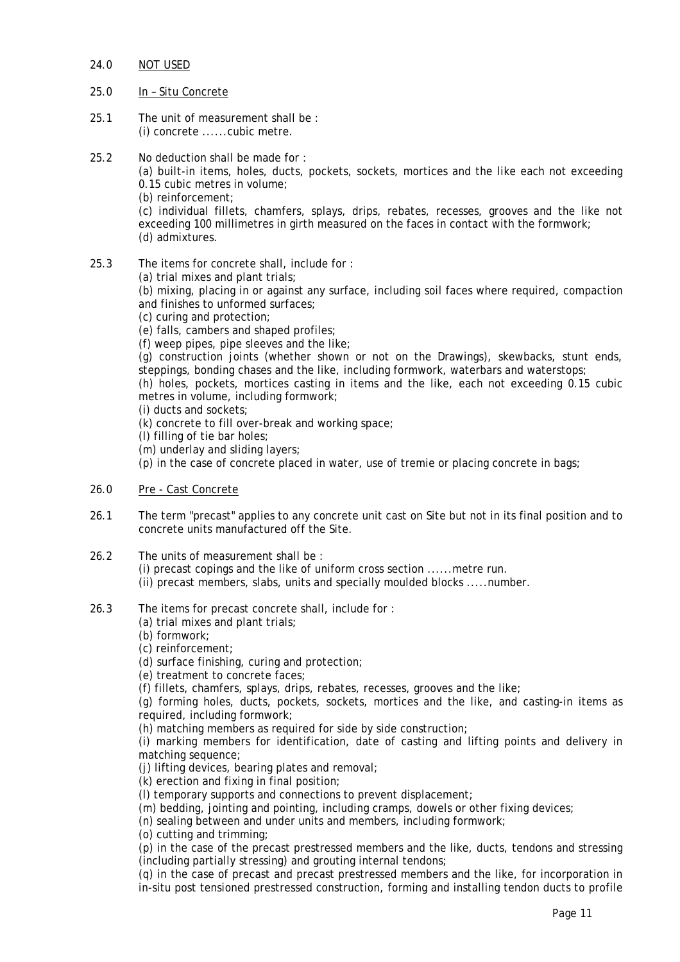- 24.0 NOT USED
- 25.0 In Situ Concrete
- 25.1 The unit of measurement shall be : (i) concrete ......cubic metre.
- 25.2 No deduction shall be made for :

 (a) built-in items, holes, ducts, pockets, sockets, mortices and the like each not exceeding 0.15 cubic metres in volume;

(b) reinforcement;

 (c) individual fillets, chamfers, splays, drips, rebates, recesses, grooves and the like not exceeding 100 millimetres in girth measured on the faces in contact with the formwork; (d) admixtures.

- 25.3 The items for concrete shall, include for :
	- (a) trial mixes and plant trials;

 (b) mixing, placing in or against any surface, including soil faces where required, compaction and finishes to unformed surfaces;

- (c) curing and protection;
- (e) falls, cambers and shaped profiles;

(f) weep pipes, pipe sleeves and the like;

 (g) construction joints (whether shown or not on the Drawings), skewbacks, stunt ends, steppings, bonding chases and the like, including formwork, waterbars and waterstops;

 (h) holes, pockets, mortices casting in items and the like, each not exceeding 0.15 cubic metres in volume, including formwork;

(i) ducts and sockets;

- (k) concrete to fill over-break and working space;
- (l) filling of tie bar holes;
- (m) underlay and sliding layers;

(p) in the case of concrete placed in water, use of tremie or placing concrete in bags;

- 26.0 Pre Cast Concrete
- 26.1 The term "precast" applies to any concrete unit cast on Site but not in its final position and to concrete units manufactured off the Site.
- 26.2 The units of measurement shall be : (i) precast copings and the like of uniform cross section ......metre run. (ii) precast members, slabs, units and specially moulded blocks .....number.
- 26.3 The items for precast concrete shall, include for :
	- (a) trial mixes and plant trials;
	- (b) formwork;
	- (c) reinforcement;

(d) surface finishing, curing and protection;

(e) treatment to concrete faces;

(f) fillets, chamfers, splays, drips, rebates, recesses, grooves and the like;

 (g) forming holes, ducts, pockets, sockets, mortices and the like, and casting-in items as required, including formwork;

(h) matching members as required for side by side construction;

 (i) marking members for identification, date of casting and lifting points and delivery in matching sequence;

(j) lifting devices, bearing plates and removal;

(k) erection and fixing in final position;

(l) temporary supports and connections to prevent displacement;

(m) bedding, jointing and pointing, including cramps, dowels or other fixing devices;

(n) sealing between and under units and members, including formwork;

(o) cutting and trimming;

 (p) in the case of the precast prestressed members and the like, ducts, tendons and stressing (including partially stressing) and grouting internal tendons;

 (q) in the case of precast and precast prestressed members and the like, for incorporation in in-situ post tensioned prestressed construction, forming and installing tendon ducts to profile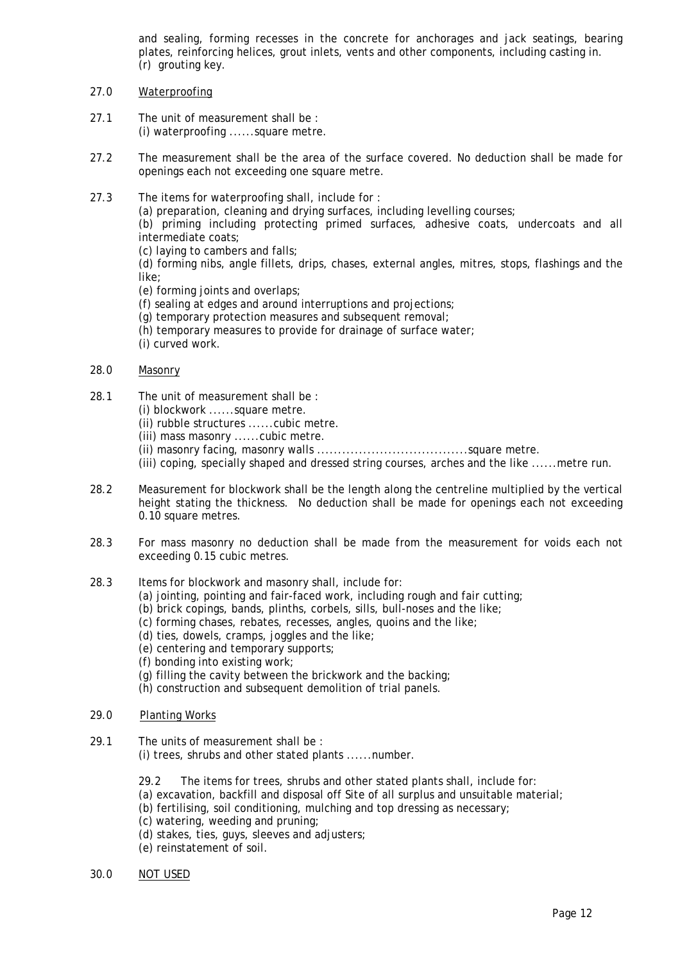and sealing, forming recesses in the concrete for anchorages and jack seatings, bearing plates, reinforcing helices, grout inlets, vents and other components, including casting in. (r) grouting key.

- 27.0 Waterproofing
- 27.1 The unit of measurement shall be : (i) waterproofing ......square metre.
- 27.2 The measurement shall be the area of the surface covered. No deduction shall be made for openings each not exceeding one square metre.
- 27.3 The items for waterproofing shall, include for :

(a) preparation, cleaning and drying surfaces, including levelling courses;

 (b) priming including protecting primed surfaces, adhesive coats, undercoats and all intermediate coats;

(c) laying to cambers and falls;

 (d) forming nibs, angle fillets, drips, chases, external angles, mitres, stops, flashings and the like;

- (e) forming joints and overlaps;
- (f) sealing at edges and around interruptions and projections;
- (g) temporary protection measures and subsequent removal;
- (h) temporary measures to provide for drainage of surface water;

(i) curved work.

- 28.0 Masonry
- 28.1 The unit of measurement shall be :
	- (i) blockwork ......square metre.
	- (ii) rubble structures ......cubic metre.
	- (iii) mass masonry ......cubic metre.
	- (ii) masonry facing, masonry walls ....................................square metre.
	- (iii) coping, specially shaped and dressed string courses, arches and the like ......metre run.
- 28.2 Measurement for blockwork shall be the length along the centreline multiplied by the vertical height stating the thickness. No deduction shall be made for openings each not exceeding 0.10 square metres.
- 28.3 For mass masonry no deduction shall be made from the measurement for voids each not exceeding 0.15 cubic metres.
- 28.3 Items for blockwork and masonry shall, include for:
	- (a) jointing, pointing and fair-faced work, including rough and fair cutting;
	- (b) brick copings, bands, plinths, corbels, sills, bull-noses and the like;
	- (c) forming chases, rebates, recesses, angles, quoins and the like;
	- (d) ties, dowels, cramps, joggles and the like;
	- (e) centering and temporary supports;
	- (f) bonding into existing work;
	- (g) filling the cavity between the brickwork and the backing;
	- (h) construction and subsequent demolition of trial panels.
- 29.0 Planting Works
- 29.1 The units of measurement shall be :
	- (i) trees, shrubs and other stated plants ......number.
	- 29.2 The items for trees, shrubs and other stated plants shall, include for:
	- (a) excavation, backfill and disposal off Site of all surplus and unsuitable material;
	- (b) fertilising, soil conditioning, mulching and top dressing as necessary;
	- (c) watering, weeding and pruning;
	- (d) stakes, ties, guys, sleeves and adjusters;
	- (e) reinstatement of soil.
- 30.0 NOT USED